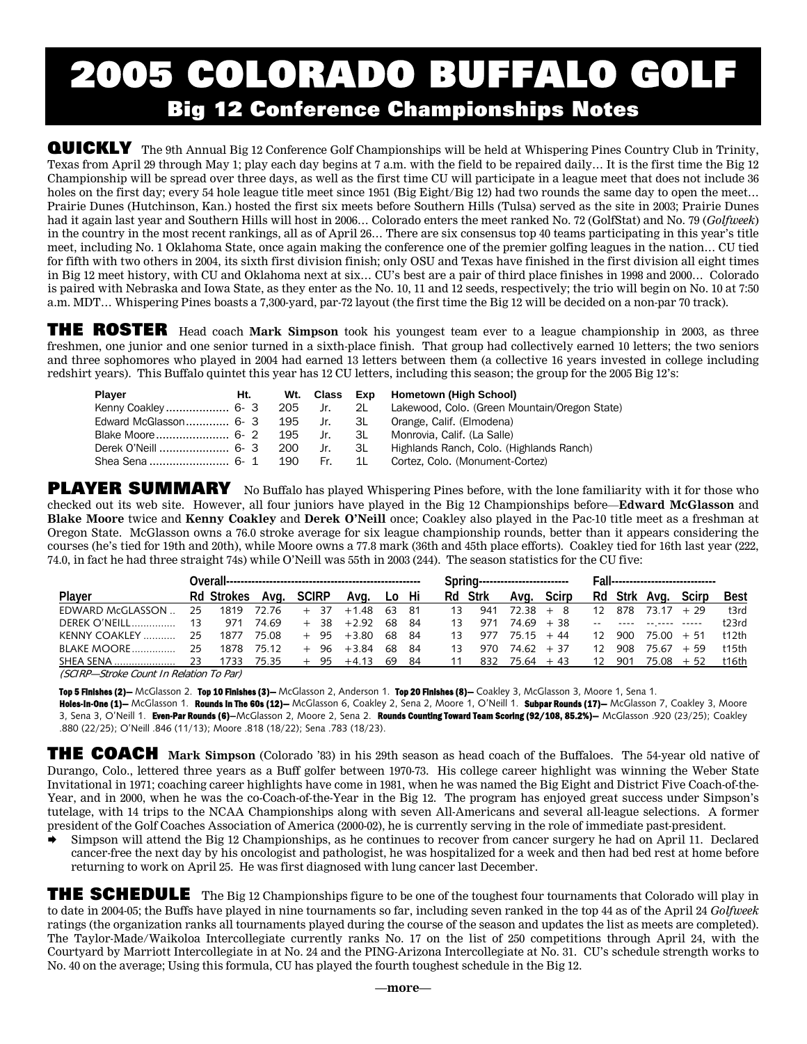# 2005 COLORADO BUFFALO GO Big 12 Conference Championships Notes

**QUICKLY** The 9th Annual Big 12 Conference Golf Championships will be held at Whispering Pines Country Club in Trinity, Texas from April 29 through May 1; play each day begins at 7 a.m. with the field to be repaired daily… It is the first time the Big 12 Championship will be spread over three days, as well as the first time CU will participate in a league meet that does not include 36 holes on the first day; every 54 hole league title meet since 1951 (Big Eight/Big 12) had two rounds the same day to open the meet... Prairie Dunes (Hutchinson, Kan.) hosted the first six meets before Southern Hills (Tulsa) served as the site in 2003; Prairie Dunes had it again last year and Southern Hills will host in 2006… Colorado enters the meet ranked No. 72 (GolfStat) and No. 79 (*Golfweek*) in the country in the most recent rankings, all as of April 26… There are six consensus top 40 teams participating in this year's title meet, including No. 1 Oklahoma State, once again making the conference one of the premier golfing leagues in the nation… CU tied for fifth with two others in 2004, its sixth first division finish; only OSU and Texas have finished in the first division all eight times in Big 12 meet history, with CU and Oklahoma next at six… CU's best are a pair of third place finishes in 1998 and 2000… Colorado is paired with Nebraska and Iowa State, as they enter as the No. 10, 11 and 12 seeds, respectively; the trio will begin on No. 10 at 7:50 a.m. MDT… Whispering Pines boasts a 7,300-yard, par-72 layout (the first time the Big 12 will be decided on a non-par 70 track).

THE ROSTER Head coach **Mark Simpson** took his youngest team ever to a league championship in 2003, as three freshmen, one junior and one senior turned in a sixth-place finish. That group had collectively earned 10 letters; the two seniors and three sophomores who played in 2004 had earned 13 letters between them (a collective 16 years invested in college including redshirt years). This Buffalo quintet this year has 12 CU letters, including this season; the group for the 2005 Big 12's:

| Player                                                     |  |  | Ht. Wt. Class Exp Hometown (High School)                                    |
|------------------------------------------------------------|--|--|-----------------------------------------------------------------------------|
|                                                            |  |  | Kenny Coakley 6- 3 205 Jr. 2L Lakewood, Colo. (Green Mountain/Oregon State) |
| Edward McGlasson 6- 3 195 Jr. 3L Orange, Calif. (Elmodena) |  |  |                                                                             |
|                                                            |  |  |                                                                             |
|                                                            |  |  | Derek O'Neill  6- 3 200 Jr. 3L Highlands Ranch. Colo. (Highlands Ranch)     |
|                                                            |  |  | Shea Sena  6- 1 190 Fr. 1L Cortez, Colo. (Monument-Cortez)                  |

PLAYER SUMMARY No Buffalo has played Whispering Pines before, with the lone familiarity with it for those who checked out its web site. However, all four juniors have played in the Big 12 Championships before—**Edward McGlasson** and **Blake Moore** twice and **Kenny Coakley** and **Derek O'Neill** once; Coakley also played in the Pac-10 title meet as a freshman at Oregon State. McGlasson owns a 76.0 stroke average for six league championship rounds, better than it appears considering the courses (he's tied for 19th and 20th), while Moore owns a 77.8 mark (36th and 45th place efforts). Coakley tied for 16th last year (222, 74.0, in fact he had three straight 74s) while O'Neill was 55th in 2003 (244). The season statistics for the CU five:

| Plaver                                  |       | Rd Strokes Avg. SCIRP Avg. Lo Hi |       |  |  |                     |       |  |        | Rd Strk |            | Ava. Scirp |                 |     | Rd Strk Ava. Scirp |  | <b>Best</b> |
|-----------------------------------------|-------|----------------------------------|-------|--|--|---------------------|-------|--|--------|---------|------------|------------|-----------------|-----|--------------------|--|-------------|
| FDWARD McGLASSON                        | - 25  | 1819                             | 72 76 |  |  | $+ 37 + 148$        | 63 81 |  | $13 -$ | 941     | $7238 + 8$ |            | 12 <sup>1</sup> |     | $878$ 7317 + 29    |  | $+3rd$      |
| DEREK O'NEILL                           | $-13$ | 971                              | 74 69 |  |  | $+38$ $+2.92$ 68 84 |       |  |        | 13 971  |            | 74.69 + 38 |                 |     |                    |  | t23rd       |
| KENNY COAKLEY                           | - 25  | 1877                             | 75.08 |  |  | + 95 +380           | 68 84 |  | 13     | 977     | 75 15      | $+44$      | 12 <sub>1</sub> | 900 | $75.00 + 51$       |  | †12th       |
|                                         |       | 1878                             | 75 12 |  |  | $+ 96 + 384$ 68 84  |       |  | 13     | 970     | 74.62 + 37 |            | 12 <sub>1</sub> | 908 | $7567 + 59$        |  | †15†h       |
| SHEA SENA                               | 23    | 1733 75.35                       |       |  |  | $+95$ $+4.13$ 69 84 |       |  | 11     | 832     | 75.64 + 43 |            | 12              | 901 | $75.08 + 52$       |  | t16th       |
| CCUDD, Ctroke Count In Delation To Darl |       |                                  |       |  |  |                     |       |  |        |         |            |            |                 |     |                    |  |             |

(SCIRP—Stroke Count In Relation To Par)

Top 5 Finishes (2)- McGlasson 2. Top 10 Finishes (3)- McGlasson 2, Anderson 1. Top 20 Finishes (8)- Coakley 3, McGlasson 3, Moore 1, Sena 1.

Holes-In-One (1)— McGlasson 1. Rounds In The 60s (12)— McGlasson 6, Coakley 2, Sena 2, Moore 1, O'Neill 1. Subpar Rounds (17)— McGlasson 7, Coakley 3, Moore 3, Sena 3, O'Neill 1. Even-Par Rounds (6)–McGlasson 2, Moore 2, Sena 2. Rounds Counting Toward Team Scoring (92/108, 85.2%)– McGlasson .920 (23/25); Coakley .880 (22/25); O'Neill .846 (11/13); Moore .818 (18/22); Sena .783 (18/23).

THE COACH **Mark Simpson** (Colorado '83) in his 29th season as head coach of the Buffaloes. The 54-year old native of Durango, Colo., lettered three years as a Buff golfer between 1970-73. His college career highlight was winning the Weber State Invitational in 1971; coaching career highlights have come in 1981, when he was named the Big Eight and District Five Coach-of-the-Year, and in 2000, when he was the co-Coach-of-the-Year in the Big 12. The program has enjoyed great success under Simpson's tutelage, with 14 trips to the NCAA Championships along with seven All-Americans and several all-league selections. A former president of the Golf Coaches Association of America (2000-02), he is currently serving in the role of immediate past-president.

¨ Simpson will attend the Big 12 Championships, as he continues to recover from cancer surgery he had on April 11. Declared cancer-free the next day by his oncologist and pathologist, he was hospitalized for a week and then had bed rest at home before returning to work on April 25. He was first diagnosed with lung cancer last December.

THE SCHEDULE The Big 12 Championships figure to be one of the toughest four tournaments that Colorado will play in to date in 2004-05; the Buffs have played in nine tournaments so far, including seven ranked in the top 44 as of the April 24 *Golfweek*  ratings (the organization ranks all tournaments played during the course of the season and updates the list as meets are completed). The Taylor-Made/Waikoloa Intercollegiate currently ranks No. 17 on the list of 250 competitions through April 24, with the Courtyard by Marriott Intercollegiate in at No. 24 and the PING-Arizona Intercollegiate at No. 31. CU's schedule strength works to No. 40 on the average; Using this formula, CU has played the fourth toughest schedule in the Big 12.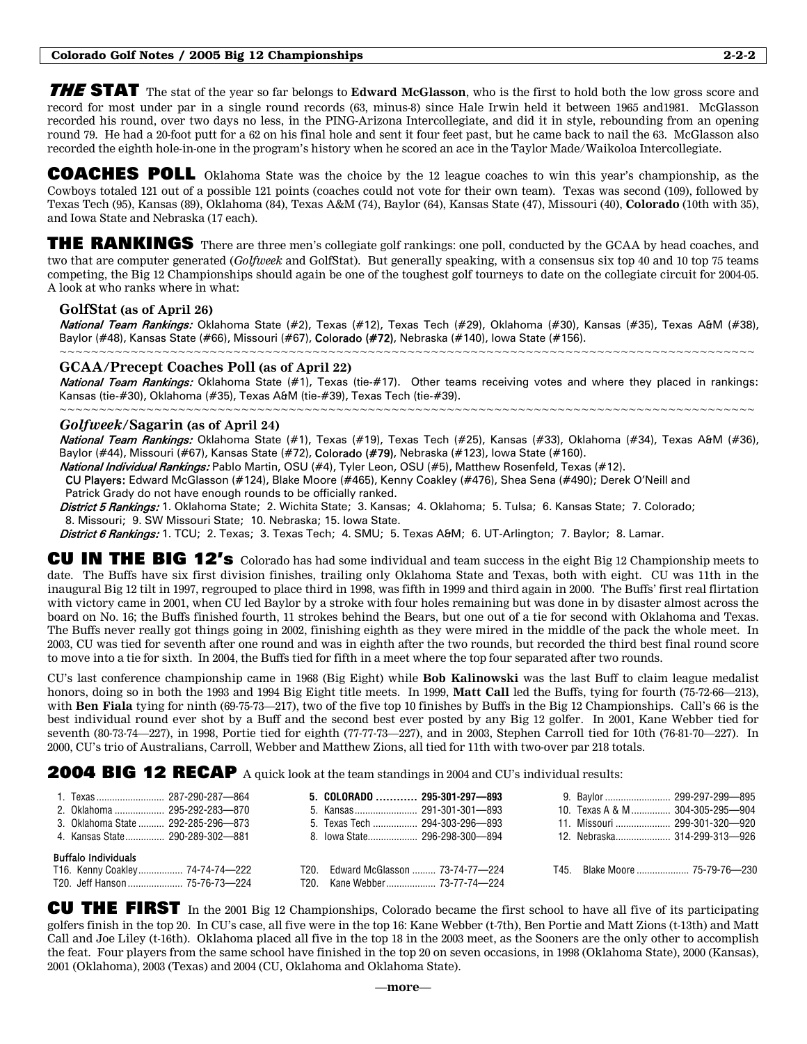THE STAT The stat of the year so far belongs to **Edward McGlasson**, who is the first to hold both the low gross score and record for most under par in a single round records (63, minus-8) since Hale Irwin held it between 1965 and1981. McGlasson recorded his round, over two days no less, in the PING-Arizona Intercollegiate, and did it in style, rebounding from an opening round 79. He had a 20-foot putt for a 62 on his final hole and sent it four feet past, but he came back to nail the 63. McGlasson also recorded the eighth hole-in-one in the program's history when he scored an ace in the Taylor Made/Waikoloa Intercollegiate.

COACHES POLL Oklahoma State was the choice by the 12 league coaches to win this year's championship, as the Cowboys totaled 121 out of a possible 121 points (coaches could not vote for their own team). Texas was second (109), followed by Texas Tech (95), Kansas (89), Oklahoma (84), Texas A&M (74), Baylor (64), Kansas State (47), Missouri (40), **Colorado** (10th with 35), and Iowa State and Nebraska (17 each).

THE RANKINGS There are three men's collegiate golf rankings: one poll, conducted by the GCAA by head coaches, and two that are computer generated (*Golfweek* and GolfStat). But generally speaking, with a consensus six top 40 and 10 top 75 teams competing, the Big 12 Championships should again be one of the toughest golf tourneys to date on the collegiate circuit for 2004-05. A look at who ranks where in what:

## **GolfStat (as of April 26)**

National Team Rankings: Oklahoma State (#2), Texas (#12), Texas Tech (#29), Oklahoma (#30), Kansas (#35), Texas A&M (#38), Baylor (#48), Kansas State (#66), Missouri (#67), Colorado (#72), Nebraska (#140), Iowa State (#156). ~~~~~~~~~~~~~~~~~~~~~~~~~~~~~~~~~~~~

# **GCAA/Precept Coaches Poll (as of April 22)**

National Team Rankings: Oklahoma State (#1), Texas (tie-#17). Other teams receiving votes and where they placed in rankings: Kansas (tie-#30), Oklahoma (#35), Texas A&M (tie-#39), Texas Tech (tie-#39). ~~~~~~~~~~~~~~~~~~~~~~~~~~~~~~~~~~~~~~~~~~~~~~~~~~~~~~~~~~~~~~~~~~~~~~~~~~~~~~~~~~~~~~~~

### *Golfweek***/Sagarin (as of April 24)**

National Team Rankings: Oklahoma State (#1), Texas (#19), Texas Tech (#25), Kansas (#33), Oklahoma (#34), Texas A&M (#36), Baylor (#44), Missouri (#67), Kansas State (#72), Colorado (#79), Nebraska (#123), Iowa State (#160).

National Individual Rankings: Pablo Martin, OSU (#4), Tyler Leon, OSU (#5), Matthew Rosenfeld, Texas (#12).

 CU Players: Edward McGlasson (#124), Blake Moore (#465), Kenny Coakley (#476), Shea Sena (#490); Derek O'Neill and Patrick Grady do not have enough rounds to be officially ranked.

District 5 Rankings: 1. Oklahoma State; 2. Wichita State; 3. Kansas; 4. Oklahoma; 5. Tulsa; 6. Kansas State; 7. Colorado; 8. Missouri; 9. SW Missouri State; 10. Nebraska; 15. Iowa State.

District 6 Rankings: 1. TCU; 2. Texas; 3. Texas Tech; 4. SMU; 5. Texas A&M; 6. UT-Arlington; 7. Baylor; 8. Lamar.

CU IN THE BIG 12's Colorado has had some individual and team success in the eight Big 12 Championship meets to date. The Buffs have six first division finishes, trailing only Oklahoma State and Texas, both with eight. CU was 11th in the inaugural Big 12 tilt in 1997, regrouped to place third in 1998, was fifth in 1999 and third again in 2000. The Buffs' first real flirtation with victory came in 2001, when CU led Baylor by a stroke with four holes remaining but was done in by disaster almost across the board on No. 16; the Buffs finished fourth, 11 strokes behind the Bears, but one out of a tie for second with Oklahoma and Texas. The Buffs never really got things going in 2002, finishing eighth as they were mired in the middle of the pack the whole meet. In 2003, CU was tied for seventh after one round and was in eighth after the two rounds, but recorded the third best final round score to move into a tie for sixth. In 2004, the Buffs tied for fifth in a meet where the top four separated after two rounds.

CU's last conference championship came in 1968 (Big Eight) while **Bob Kalinowski** was the last Buff to claim league medalist honors, doing so in both the 1993 and 1994 Big Eight title meets. In 1999, **Matt Call** led the Buffs, tying for fourth (75-72-66—213), with **Ben Fiala** tying for ninth (69-75-73—217), two of the five top 10 finishes by Buffs in the Big 12 Championships. Call's 66 is the best individual round ever shot by a Buff and the second best ever posted by any Big 12 golfer. In 2001, Kane Webber tied for seventh (80-73-74—227), in 1998, Portie tied for eighth (77-77-73—227), and in 2003, Stephen Carroll tied for 10th (76-81-70—227). In 2000, CU's trio of Australians, Carroll, Webber and Matthew Zions, all tied for 11th with two-over par 218 totals.

**2004 BIG 12 RECAP** A quick look at the team standings in 2004 and CU's individual results:

|                                                                                                 | $5.$ COLORADO  295-301-297—893      | 9. Baylor  299-297-299-895       |
|-------------------------------------------------------------------------------------------------|-------------------------------------|----------------------------------|
|                                                                                                 |                                     | 10. Texas A & M  304-305-295-904 |
| 3. Oklahoma State  292-285-296-873                                                              | 5. Texas Tech  294-303-296-893      | 11. Missouri  299-301-320- 920   |
| 4. Kansas State 290-289-302-881                                                                 | 8 Iowa State 296-298-300-894        | 12 Nebraska 314-299-313-926      |
| <b>Buffalo Individuals</b><br>T16. Kenny Coakley 74-74-74-222<br>T20. Jeff Hanson  75-76-73-224 | T20. Edward McGlasson  73-74-77-224 |                                  |

CU THE FIRST In the 2001 Big 12 Championships, Colorado became the first school to have all five of its participating golfers finish in the top 20. In CU's case, all five were in the top 16: Kane Webber (t-7th), Ben Portie and Matt Zions (t-13th) and Matt Call and Joe Liley (t-16th). Oklahoma placed all five in the top 18 in the 2003 meet, as the Sooners are the only other to accomplish the feat. Four players from the same school have finished in the top 20 on seven occasions, in 1998 (Oklahoma State), 2000 (Kansas), 2001 (Oklahoma), 2003 (Texas) and 2004 (CU, Oklahoma and Oklahoma State).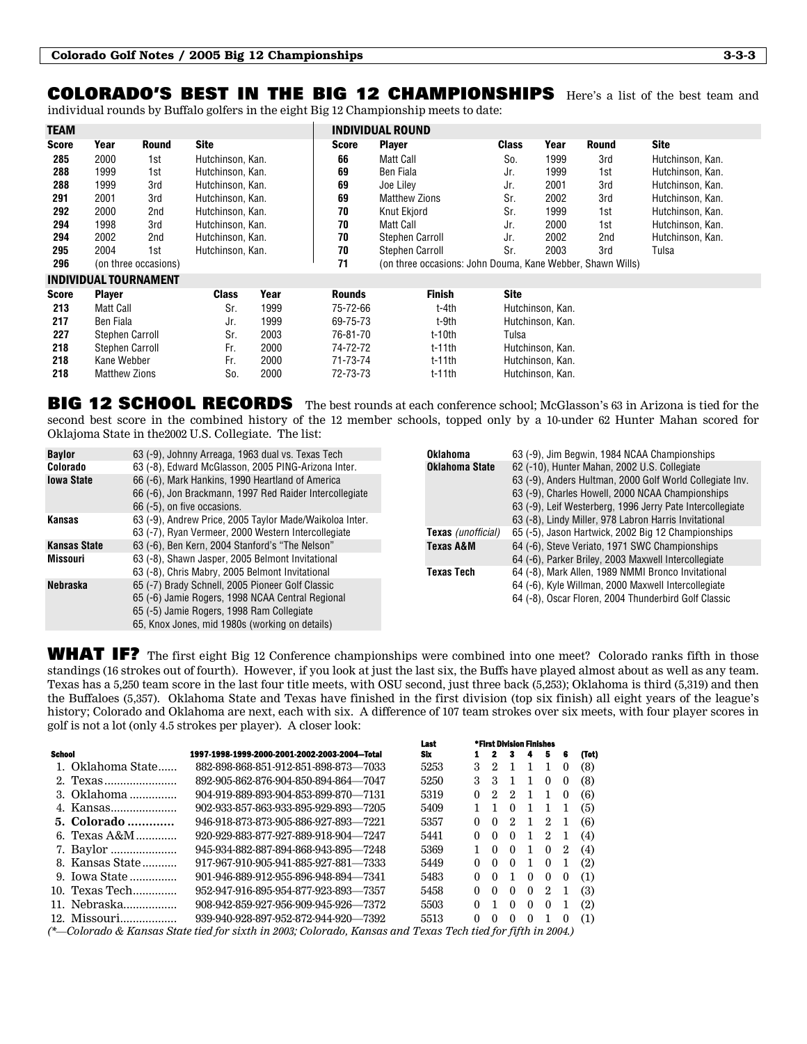# COLORADO'S BEST IN THE BIG 12 CHAMPIONSHIPSHere's a list of the best team and

individual rounds by Buffalo golfers in the eight Big 12 Championship meets to date:

| <b>TEAM</b>  |      |                      |                  |              | <b>INDIVIDUAL ROUND</b>                                    |              |      |              |                  |
|--------------|------|----------------------|------------------|--------------|------------------------------------------------------------|--------------|------|--------------|------------------|
| <b>Score</b> | Year | Round                | <b>Site</b>      | <b>Score</b> | <b>Player</b>                                              | <b>Class</b> | Year | <b>Round</b> | <b>Site</b>      |
| 285          | 2000 | 1st                  | Hutchinson, Kan. | 66           | Matt Call                                                  | So.          | 1999 | 3rd          | Hutchinson, Kan. |
| 288          | 1999 | 1st                  | Hutchinson, Kan. | 69           | Ben Fiala                                                  | Jr.          | 1999 | 1st          | Hutchinson, Kan. |
| 288          | 1999 | 3rd                  | Hutchinson, Kan. | 69           | Joe Liley                                                  | Jr.          | 2001 | 3rd          | Hutchinson, Kan. |
| 291          | 2001 | 3rd                  | Hutchinson, Kan. | 69           | <b>Matthew Zions</b>                                       | Sr.          | 2002 | 3rd          | Hutchinson, Kan. |
| 292          | 2000 | 2nd                  | Hutchinson, Kan. | 70           | Knut Ekiord                                                | Sr.          | 1999 | 1st          | Hutchinson, Kan. |
| 294          | 1998 | 3rd                  | Hutchinson, Kan. | 70           | Matt Call                                                  | Jr.          | 2000 | 1st          | Hutchinson, Kan. |
| 294          | 2002 | 2nd                  | Hutchinson, Kan. | 70           | Stephen Carroll                                            | Jr.          | 2002 | 2nd          | Hutchinson, Kan. |
| 295          | 2004 | 1st                  | Hutchinson, Kan. | 70           | Stephen Carroll                                            | Sr.          | 2003 | 3rd          | Tulsa            |
| 296          |      | (on three occasions) |                  | 71           | (on three occasions: John Douma, Kane Webber, Shawn Wills) |              |      |              |                  |

#### INDIVIDUAL TOURNAMENT

| <b>Score</b> | <b>Plaver</b>        | Class | Year | <b>Rounds</b> | <b>Finish</b> | <b>Site</b>      |
|--------------|----------------------|-------|------|---------------|---------------|------------------|
| 213          | Matt Call            | Sr.   | 1999 | 75-72-66      | t-4th         | Hutchinson, Kan. |
| 217          | Ben Fiala            | Jr.   | 1999 | 69-75-73      | t-9th         | Hutchinson, Kan. |
| 227          | Stephen Carroll      | Sr.   | 2003 | 76-81-70      | t-10th        | Tulsa            |
| 218          | Stephen Carroll      | Fr.   | 2000 | 74-72-72      | $t-11$ th     | Hutchinson, Kan. |
| 218          | Kane Webber          | Fr.   | 2000 | 71-73-74      | $t-11$ th     | Hutchinson, Kan. |
| 218          | <b>Matthew Zions</b> | So.   | 2000 | 72-73-73      | $t-11$ th     | Hutchinson, Kan. |

BIG 12 SCHOOL RECORDS The best rounds at each conference school; McGlasson's 63 in Arizona is tied for the second best score in the combined history of the 12 member schools, topped only by a 10-under 62 Hunter Mahan scored for Oklajoma State in the2002 U.S. Collegiate. The list:

| <b>Baylor</b>       | 63 (-9), Johnny Arreaga, 1963 dual vs. Texas Tech                                                                                          | Oklahoma                  | 63 (-9), Jim Begwin, 1984 NCAA Championships                                                                                                                              |  |  |  |  |  |  |
|---------------------|--------------------------------------------------------------------------------------------------------------------------------------------|---------------------------|---------------------------------------------------------------------------------------------------------------------------------------------------------------------------|--|--|--|--|--|--|
| Colorado            | 63 (-8), Edward McGlasson, 2005 PING-Arizona Inter.                                                                                        | Oklahoma State            | 62 (-10), Hunter Mahan, 2002 U.S. Collegiate                                                                                                                              |  |  |  |  |  |  |
| <b>Iowa State</b>   | 66 (-6), Mark Hankins, 1990 Heartland of America<br>66 (-6), Jon Brackmann, 1997 Red Raider Intercollegiate<br>66 (-5), on five occasions. |                           | 63 (-9), Anders Hultman, 2000 Golf World Collegiate Inv.<br>63 (-9), Charles Howell, 2000 NCAA Championships<br>63 (-9), Leif Westerberg, 1996 Jerry Pate Intercollegiate |  |  |  |  |  |  |
| Kansas              | 63 (-9), Andrew Price, 2005 Taylor Made/Waikoloa Inter.                                                                                    |                           | 63 (-8), Lindy Miller, 978 Labron Harris Invitational                                                                                                                     |  |  |  |  |  |  |
|                     | 63 (-7), Ryan Vermeer, 2000 Western Intercollegiate                                                                                        | <b>Texas</b> (unofficial) | 65 (-5), Jason Hartwick, 2002 Big 12 Championships                                                                                                                        |  |  |  |  |  |  |
| <b>Kansas State</b> | 63 (-6), Ben Kern, 2004 Stanford's "The Nelson"                                                                                            | Texas A&M                 | 64 (-6), Steve Veriato, 1971 SWC Championships                                                                                                                            |  |  |  |  |  |  |
| <b>Missouri</b>     | 63 (-8), Shawn Jasper, 2005 Belmont Invitational                                                                                           |                           | 64 (-6), Parker Briley, 2003 Maxwell Intercollegiate                                                                                                                      |  |  |  |  |  |  |
|                     | 63 (-8), Chris Mabry, 2005 Belmont Invitational                                                                                            | Texas Tech                | 64 (-8), Mark Allen, 1989 NMMI Bronco Invitational                                                                                                                        |  |  |  |  |  |  |
| <b>Nebraska</b>     | 65 (-7) Brady Schnell, 2005 Pioneer Golf Classic                                                                                           |                           | 64 (-6), Kyle Willman, 2000 Maxwell Intercollegiate                                                                                                                       |  |  |  |  |  |  |
|                     | 65 (-6) Jamie Rogers, 1998 NCAA Central Regional                                                                                           |                           | 64 (-8), Oscar Floren, 2004 Thunderbird Golf Classic                                                                                                                      |  |  |  |  |  |  |
|                     | 65 (-5) Jamie Rogers, 1998 Ram Collegiate                                                                                                  |                           |                                                                                                                                                                           |  |  |  |  |  |  |
|                     | 65, Knox Jones, mid 1980s (working on details)                                                                                             |                           |                                                                                                                                                                           |  |  |  |  |  |  |

WHAT IF? The first eight Big 12 Conference championships were combined into one meet? Colorado ranks fifth in those standings (16 strokes out of fourth). However, if you look at just the last six, the Buffs have played almost about as well as any team. Texas has a 5,250 team score in the last four title meets, with OSU second, just three back (5,253); Oklahoma is third (5,319) and then the Buffaloes (5,357). Oklahoma State and Texas have finished in the first division (top six finish) all eight years of the league's history; Colorado and Oklahoma are next, each with six. A difference of 107 team strokes over six meets, with four player scores in golf is not a lot (only 4.5 strokes per player). A closer look:

|                   |                                                                                                             | Last | *First Division Finishes |                  |          |          |          |          |       |
|-------------------|-------------------------------------------------------------------------------------------------------------|------|--------------------------|------------------|----------|----------|----------|----------|-------|
| <b>School</b>     | 1997-1998-1999-2000-2001-2002-2003-2004-Total                                                               | Sbx  |                          |                  | з.       | 4        | 5        | 6        | (Tot) |
| 1. Oklahoma State | 882-898-868-851-912-851-898-873-7033                                                                        | 5253 | 3                        | 2                |          |          | 1        | $\bf{0}$ | (8)   |
| 2. Texas          | 892-905-862-876-904-850-894-864—7047                                                                        | 5250 | 3                        | 3                | -1       | 1        | $\Omega$ | $\bf{0}$ | (8)   |
| 3. Oklahoma       | 904-919-889-893-904-853-899-870-7131                                                                        | 5319 | 0                        | 2                | 2        | 1        | 1        | $\bf{0}$ | (6)   |
|                   | 902-933-857-863-933-895-929-893—7205                                                                        | 5409 |                          |                  | $\Omega$ | 1        |          | 1        | (5)   |
| 5. Colorado       | 946-918-873-873-905-886-927-893—7221                                                                        | 5357 | 0                        | $\left( \right)$ | 2        | ı.       | $^{2}$   | 1        | (6)   |
| 6. Texas $A\&M$   | 920-929-883-877-927-889-918-904-7247                                                                        | 5441 | 0                        | $\theta$         | $\Omega$ |          | 2        | -1       | (4)   |
| 7. Baylor         | 945-934-882-887-894-868-943-895-7248                                                                        | 5369 |                          | $\theta$         | $\Omega$ |          | $\theta$ | $^{2}$   | (4)   |
| 8. Kansas State   | 917-967-910-905-941-885-927-881—7333                                                                        | 5449 | 0                        | $\Omega$         | $\Omega$ | 1        | $\theta$ | -1       | (2)   |
| 9. Iowa State     | 901-946-889-912-955-896-948-894—7341                                                                        | 5483 | 0                        | $\Omega$         |          | $\theta$ | $\theta$ | $\theta$ | (1)   |
| 10. Texas Tech    | 952-947-916-895-954-877-923-893-7357                                                                        | 5458 | 0                        | $\Omega$         | $\Omega$ | $\theta$ | $^{2}$   |          | (3)   |
| 11. Nebraska      | 908-942-859-927-956-909-945-926-7372                                                                        | 5503 | 0                        | 1                | $\Omega$ | $\Omega$ | $\Omega$ | -1       | (2)   |
| 12. Missouri      | 939-940-928-897-952-872-944-920—7392                                                                        | 5513 | 0                        | $\theta$         | $\Omega$ | $\Omega$ |          | $\Omega$ | (1)   |
|                   | (*—Colorado & Kansas State tied for sixth in 2003; Colorado, Kansas and Texas Tech tied for fifth in 2004.) |      |                          |                  |          |          |          |          |       |